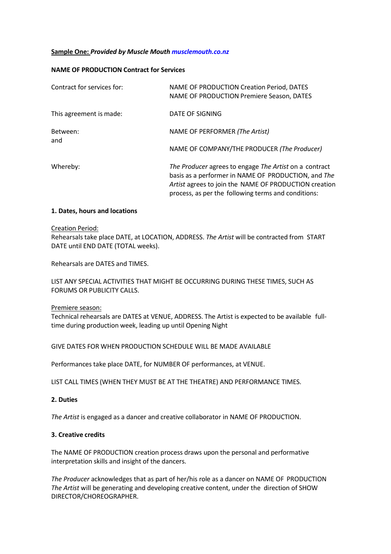## **Sample One:** *Provided by Muscle Mout[h musclemouth.co.nz](http://www.musclemouth.co.nz/)*

## **NAME OF PRODUCTION Contract for Services**

| Contract for services for: | NAME OF PRODUCTION Creation Period, DATES<br>NAME OF PRODUCTION Premiere Season, DATES                                                                                                                                        |
|----------------------------|-------------------------------------------------------------------------------------------------------------------------------------------------------------------------------------------------------------------------------|
| This agreement is made:    | DATE OF SIGNING                                                                                                                                                                                                               |
| Between:<br>and            | NAME OF PERFORMER (The Artist)                                                                                                                                                                                                |
|                            | NAME OF COMPANY/THE PRODUCER (The Producer)                                                                                                                                                                                   |
| Whereby:                   | The Producer agrees to engage The Artist on a contract<br>basis as a performer in NAME OF PRODUCTION, and The<br>Artist agrees to join the NAME OF PRODUCTION creation<br>process, as per the following terms and conditions: |

### **1. Dates, hours and locations**

#### Creation Period:

Rehearsalstake place DATE, at LOCATION, ADDRESS. *The Artist* will be contracted from START DATE until END DATE (TOTAL weeks).

Rehearsals are DATES and TIMES.

LIST ANY SPECIAL ACTIVITIES THAT MIGHT BE OCCURRING DURING THESE TIMES, SUCH AS FORUMS OR PUBLICITY CALLS.

#### Premiere season:

Technical rehearsals are DATES at VENUE, ADDRESS. The Artist is expected to be available fulltime during production week, leading up until Opening Night

GIVE DATES FOR WHEN PRODUCTION SCHEDULE WILL BE MADE AVAILABLE

Performances take place DATE, for NUMBER OF performances, at VENUE.

LIST CALL TIMES (WHEN THEY MUST BE AT THE THEATRE) AND PERFORMANCE TIMES.

# **2. Duties**

*The Artist* is engaged as a dancer and creative collaborator in NAME OF PRODUCTION.

# **3. Creative credits**

The NAME OF PRODUCTION creation process draws upon the personal and performative interpretation skills and insight of the dancers.

*The Producer* acknowledges that as part of her/his role as a dancer on NAME OF PRODUCTION *The Artist* will be generating and developing creative content, under the direction of SHOW DIRECTOR/CHOREOGRAPHER.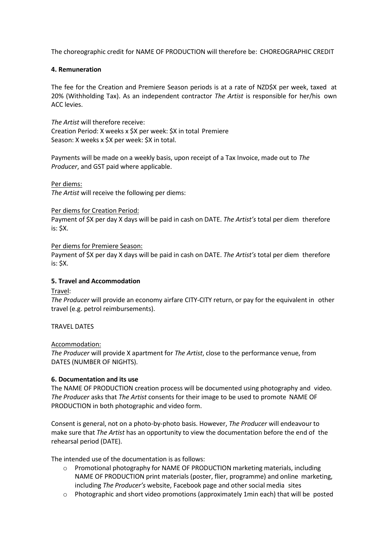The choreographic credit for NAME OF PRODUCTION will therefore be: CHOREOGRAPHIC CREDIT

# **4. Remuneration**

The fee for the Creation and Premiere Season periods is at a rate of NZD\$X per week, taxed at 20% (Withholding Tax). As an independent contractor *The Artist* is responsible for her/his own ACC levies.

*The Artist* will therefore receive: Creation Period: X weeks x \$X per week: \$X in total Premiere Season: X weeks x \$X per week: \$X in total.

Payments will be made on a weekly basis, upon receipt of a Tax Invoice, made out to *The Producer*, and GST paid where applicable.

Per diems:

*The Artist* will receive the following per diems:

### Per diems for Creation Period:

Payment of \$X per day X days will be paid in cash on DATE. *The Artist's* total per diem therefore is: \$X.

Per diems for Premiere Season:

Payment of \$X per day X days will be paid in cash on DATE. *The Artist's* total per diem therefore is: \$X.

# **5. Travel and Accommodation**

Travel:

*The Producer* will provide an economy airfare CITY-CITY return, or pay for the equivalent in other travel (e.g. petrol reimbursements).

## TRAVEL DATES

## Accommodation:

*The Producer* will provide X apartment for *The Artist*, close to the performance venue, from DATES (NUMBER OF NIGHTS).

## **6. Documentation and its use**

The NAME OF PRODUCTION creation process will be documented using photography and video. *The Producer* asks that *The Artist* consents for their image to be used to promote NAME OF PRODUCTION in both photographic and video form.

Consent is general, not on a photo-by-photo basis. However, *The Producer* will endeavour to make sure that *The Artist* has an opportunity to view the documentation before the end of the rehearsal period (DATE).

The intended use of the documentation is as follows:

- o Promotional photography for NAME OF PRODUCTION marketing materials, including NAME OF PRODUCTION print materials (poster, flier, programme) and online marketing, including *The Producer's* website, Facebook page and other social media sites
- o Photographic and short video promotions (approximately 1min each) that will be posted